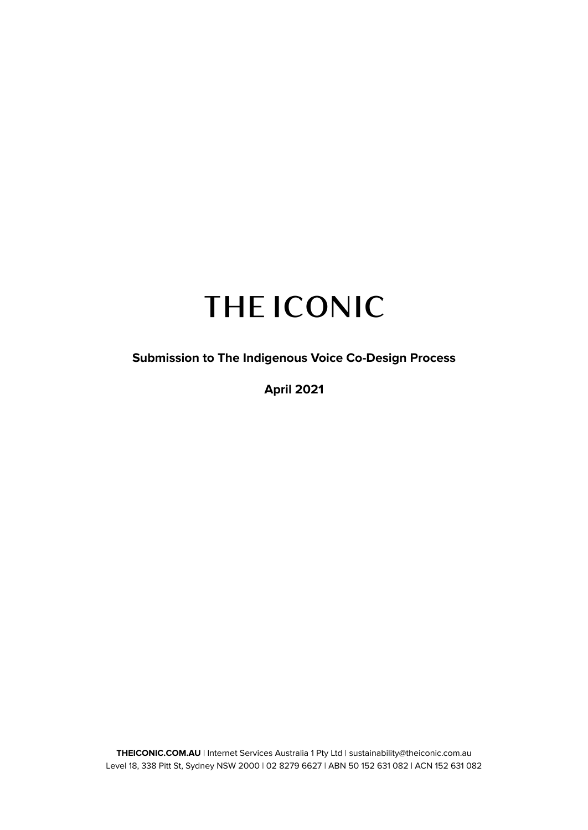# **THE ICONIC**

 **Submission to The Indigenous Voice Co-Design Process**

**April 2021**

 **THEICONIC.COM.AU** | Internet Services Australia 1 Pty Ltd | sustainability@theiconic.com.au Level 18, 338 Pitt St, Sydney NSW 2000 | 02 8279 6627 | ABN 50 152 631 082 | ACN 152 631 082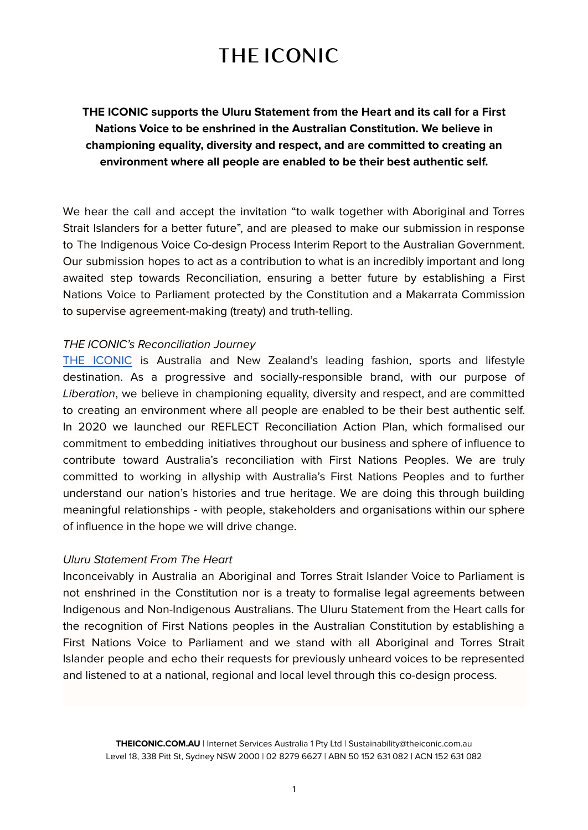## **THE ICONIC**

### **THE ICONIC supports the Uluru Statement from the Heart and its call for a First Nations Voice to be enshrined in the Australian Constitution. We believe in championing equality, diversity and respect, and are committed to creating an environment where all people are enabled to be their best authentic self.**

 to supervise agreement-making (treaty) and truth-telling. We hear the call and accept the invitation "to walk together with Aboriginal and Torres Strait Islanders for a better future", and are pleased to make our submission in response to The Indigenous Voice Co-design Process Interim Report to the Australian Government. Our submission hopes to act as a contribution to what is an incredibly important and long awaited step towards Reconciliation, ensuring a better future by establishing a First Nations Voice to Parliament protected by the Constitution and a Makarrata Commission

#### THE ICONIC's Reconciliation Journey

 of influence in the hope we will drive change. [THE ICONIC](https://www.theiconic.com.au/) is Australia and New Zealand's leading fashion, sports and lifestyle destination. As a progressive and socially-responsible brand, with our purpose of Liberation, we believe in championing equality, diversity and respect, and are committed to creating an environment where all people are enabled to be their best authentic self. In 2020 we launched our REFLECT Reconciliation Action Plan, which formalised our commitment to embedding initiatives throughout our business and sphere of influence to contribute toward Australia's reconciliation with First Nations Peoples. We are truly committed to working in allyship with Australia's First Nations Peoples and to further understand our nation's histories and true heritage. We are doing this through building meaningful relationships - with people, stakeholders and organisations within our sphere

#### Uluru Statement From The Heart

 and listened to at a national, regional and local level through this co-design process. Inconceivably in Australia an Aboriginal and Torres Strait Islander Voice to Parliament is not enshrined in the Constitution nor is a treaty to formalise legal agreements between Indigenous and Non-Indigenous Australians. The Uluru Statement from the Heart calls for the recognition of First Nations peoples in the Australian Constitution by establishing a First Nations Voice to Parliament and we stand with all Aboriginal and Torres Strait Islander people and echo their requests for previously unheard voices to be represented